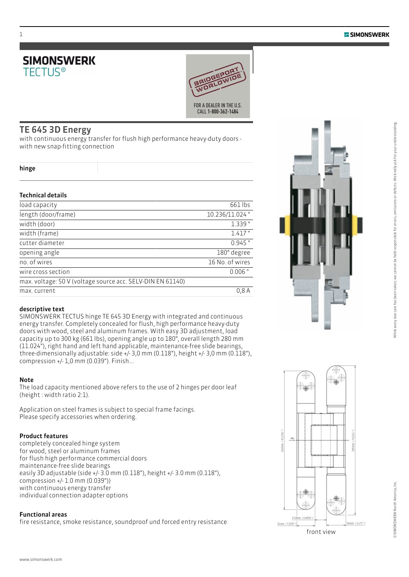



### TE 645 3D Energy

with continuous energy transfer for flush high performance heavy-duty doors with new snap-fitting connection

#### hinge

1

#### Technical details

| 661 lbs         |
|-----------------|
| 10.236/11.024"  |
| $1.339$ "       |
| $1.417$ "       |
| $0.945$ "       |
| 180° degree     |
| 16 No. of wires |
| $0.006$ "       |
|                 |
| 0.8 A           |
|                 |

#### descriptive text

SIMONSWERK TECTUS hinge TE 645 3D Energy with integrated and continuous energy transfer. Completely concealed for flush, high performance heavy-duty doors with wood, steel and aluminum frames. With easy 3D adjustment, load capacity up to 300 kg (661 lbs), opening angle up to 180°, overall length 280 mm (11.024"), right hand and left hand applicable, maintenance-free slide bearings, three-dimensionally adjustable: side +/- 3,0 mm (0.118"), height +/- 3,0 mm (0.118"), compression +/- 1,0 mm (0.039"). Finish...

#### Note

The load capacity mentioned above refers to the use of 2 hinges per door leaf (height : width ratio 2:1).

Application on steel frames is subject to special frame facings. Please specify accessories when ordering.

#### Product features

completely concealed hinge system for wood, steel or aluminum frames for flush high performance commercial doors maintenance-free slide bearings easily 3D adjustable (side +/- 3.0 mm (0.118"), height +/- 3.0 mm (0.118"), compression +/- 1.0 mm (0.039")) with continuous energy transfer individual connection adapter options

#### Functional areas

www.simonswerk.com

fire resistance, smoke resistance, soundproof und forced entry resistance